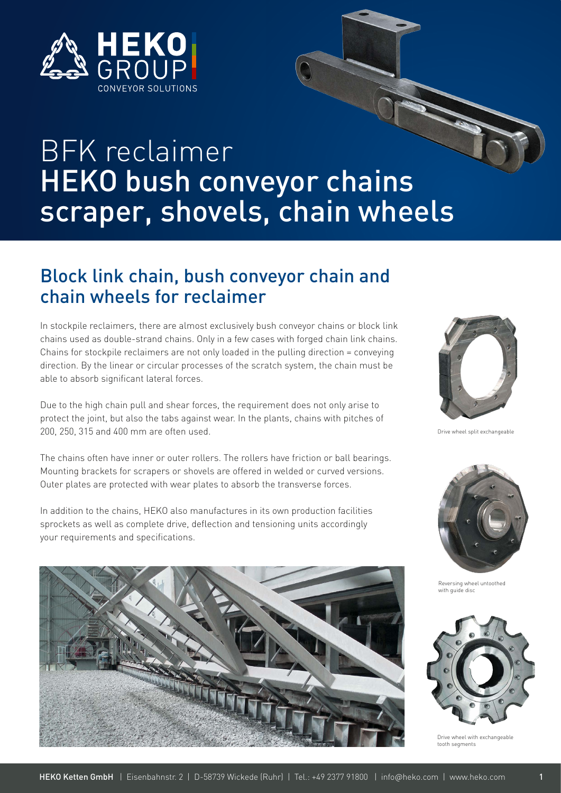

# BFK reclaimer HEKO bush conveyor chains scraper, shovels, chain wheels

#### Block link chain, bush conveyor chain and chain wheels for reclaimer

In stockpile reclaimers, there are almost exclusively bush conveyor chains or block link chains used as double-strand chains. Only in a few cases with forged chain link chains. Chains for stockpile reclaimers are not only loaded in the pulling direction = conveying direction. By the linear or circular processes of the scratch system, the chain must be able to absorb significant lateral forces.

Due to the high chain pull and shear forces, the requirement does not only arise to protect the joint, but also the tabs against wear. In the plants, chains with pitches of 200, 250, 315 and 400 mm are often used.

The chains often have inner or outer rollers. The rollers have friction or ball bearings. Mounting brackets for scrapers or shovels are offered in welded or curved versions. Outer plates are protected with wear plates to absorb the transverse forces.

In addition to the chains, HEKO also manufactures in its own production facilities sprockets as well as complete drive, deflection and tensioning units accordingly your requirements and specifications.





Drive wheel split exchangeable



Reversing wheel untoothed with quide disc



Drive wheel with exchangeable tooth segments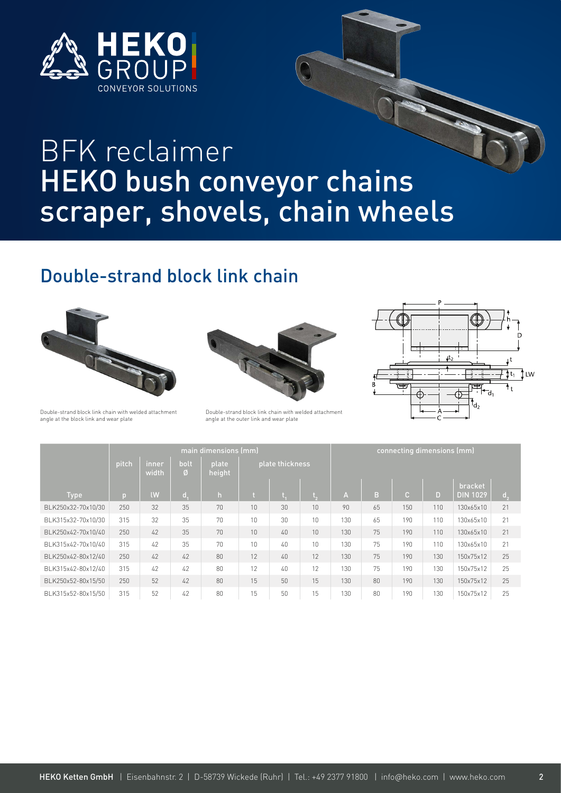

## BFK reclaimer HEKO bush conveyor chains scraper, shovels, chain wheels

### Double-strand block link chain







Double-strand block link chain with welded attachment angle at the outer link and wear plate



|                    | main dimensions (mm) |                |           |                 |                 |        |    | connecting dimensions (mm) |    |              |     |                            |                |  |
|--------------------|----------------------|----------------|-----------|-----------------|-----------------|--------|----|----------------------------|----|--------------|-----|----------------------------|----------------|--|
|                    | pitch                | inner<br>width | bolt<br>Ø | plate<br>height | plate thickness |        |    |                            |    |              |     |                            |                |  |
| <b>Type</b>        | $\overline{D}$       | <b>IW</b>      | d.        | h               |                 |        |    | A                          | B  | $\mathbb{C}$ | D   | bracket<br><b>DIN 1029</b> | d <sub>2</sub> |  |
| BLK250x32-70x10/30 | 250                  | 32             | 35        | 70              | 10              | 30     | 10 | 90                         | 65 | 150          | 110 | 130x65x10                  | 21             |  |
| BLK315x32-70x10/30 | 315                  | 32             | 35        | 70              | 10              | 30     | 10 | 130                        | 65 | 190          | 110 | 130x65x10                  | 21             |  |
| BLK250x42-70x10/40 | 250                  | 42             | 35        | 70              | 10              | $40 -$ | 10 | 130                        | 75 | 190          | 110 | 130x65x10                  | 21             |  |
| BLK315x42-70x10/40 | 315                  | 42             | 35        | 70              | 10              | 40     | 10 | 130                        | 75 | 190          | 110 | 130x65x10                  | 21             |  |
| BLK250x42-80x12/40 | 250                  | 42             | 42        | 80              | 12              | 40     | 12 | 130                        | 75 | 190          | 130 | 150x75x12                  | 25             |  |
| BLK315x42-80x12/40 | 315                  | 42             | 42        | 80              | 12              | 40     | 12 | 130                        | 75 | 190          | 130 | 150x75x12                  | 25             |  |
| BLK250x52-80x15/50 | 250                  | 52             | 42        | 80              | 15              | 50     | 15 | 130                        | 80 | 190          | 130 | 150x75x12                  | 25             |  |
| BLK315x52-80x15/50 | 315                  | 52             | 42        | 80              | 15              | 50     | 15 | 130                        | 80 | 190          | 130 | 150x75x12                  | 25             |  |